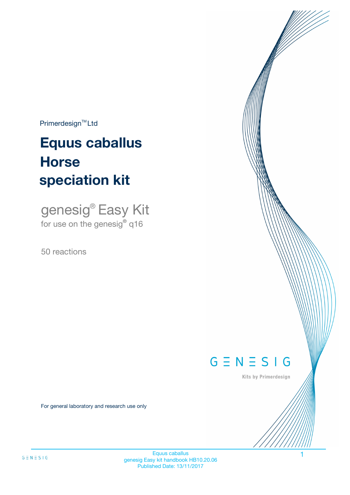$Primerdesign^{\text{TM}}Ltd$ 

# **Equus caballus speciation kit Horse**

genesig® Easy Kit for use on the genesig**®** q16

50 reactions



Kits by Primerdesign

For general laboratory and research use only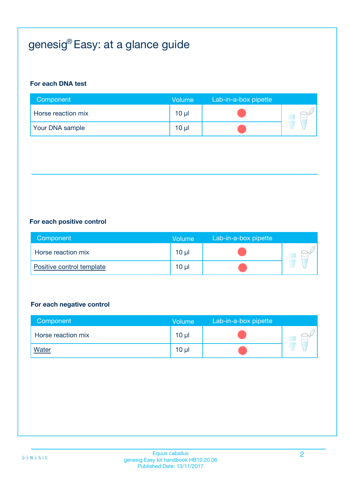# genesig® Easy: at a glance guide

#### **For each DNA test**

| Component          | Volume          | Lab-in-a-box pipette |  |
|--------------------|-----------------|----------------------|--|
| Horse reaction mix | 10 <sub>µ</sub> |                      |  |
| Your DNA sample    | $10 \mu$        |                      |  |

#### **For each positive control**

| Component                 | <b>Volume</b> | Lab-in-a-box pipette |  |
|---------------------------|---------------|----------------------|--|
| Horse reaction mix        | 10 µl         |                      |  |
| Positive control template | 10 µl         |                      |  |

#### **For each negative control**

| Component          | <b>Volume</b>   | Lab-in-a-box pipette |  |
|--------------------|-----------------|----------------------|--|
| Horse reaction mix | $10 \mu$        |                      |  |
| <b>Water</b>       | 10 <sub>µ</sub> |                      |  |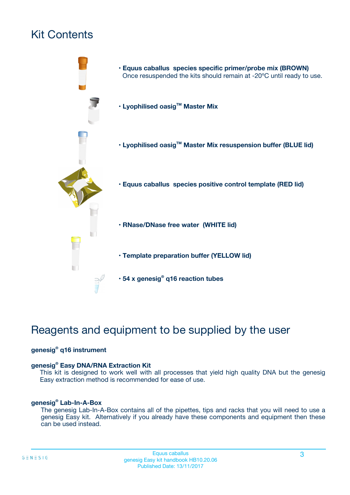# Kit Contents



# Reagents and equipment to be supplied by the user

#### **genesig® q16 instrument**

#### **genesig® Easy DNA/RNA Extraction Kit**

This kit is designed to work well with all processes that yield high quality DNA but the genesig Easy extraction method is recommended for ease of use.

#### **genesig® Lab-In-A-Box**

The genesig Lab-In-A-Box contains all of the pipettes, tips and racks that you will need to use a genesig Easy kit. Alternatively if you already have these components and equipment then these can be used instead.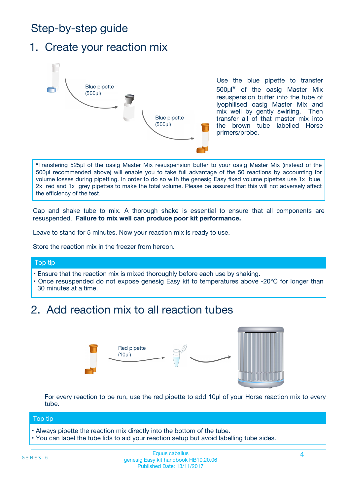# Step-by-step guide

### 1. Create your reaction mix



Use the blue pipette to transfer 500µl**\*** of the oasig Master Mix resuspension buffer into the tube of lyophilised oasig Master Mix and mix well by gently swirling. Then transfer all of that master mix into the brown tube labelled Horse primers/probe.

**\***Transfering 525µl of the oasig Master Mix resuspension buffer to your oasig Master Mix (instead of the 500µl recommended above) will enable you to take full advantage of the 50 reactions by accounting for volume losses during pipetting. In order to do so with the genesig Easy fixed volume pipettes use 1x blue, 2x red and 1x grey pipettes to make the total volume. Please be assured that this will not adversely affect the efficiency of the test.

Cap and shake tube to mix. A thorough shake is essential to ensure that all components are resuspended. **Failure to mix well can produce poor kit performance.**

Leave to stand for 5 minutes. Now your reaction mix is ready to use.

Store the reaction mix in the freezer from hereon.

#### Top tip

- Ensure that the reaction mix is mixed thoroughly before each use by shaking.
- **•** Once resuspended do not expose genesig Easy kit to temperatures above -20°C for longer than 30 minutes at a time.

# 2. Add reaction mix to all reaction tubes



For every reaction to be run, use the red pipette to add 10µl of your Horse reaction mix to every tube.

#### Top tip

- Always pipette the reaction mix directly into the bottom of the tube.
- You can label the tube lids to aid your reaction setup but avoid labelling tube sides.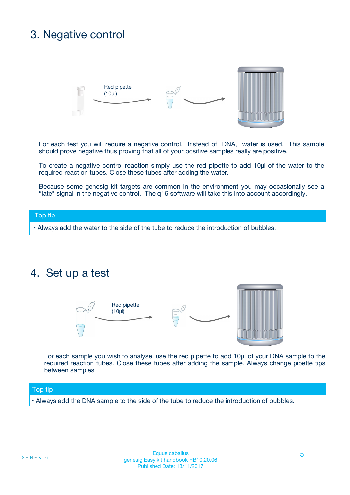## 3. Negative control



For each test you will require a negative control. Instead of DNA, water is used. This sample should prove negative thus proving that all of your positive samples really are positive.

To create a negative control reaction simply use the red pipette to add 10µl of the water to the required reaction tubes. Close these tubes after adding the water.

Because some genesig kit targets are common in the environment you may occasionally see a "late" signal in the negative control. The q16 software will take this into account accordingly.

#### Top tip

**•** Always add the water to the side of the tube to reduce the introduction of bubbles.

### 4. Set up a test



For each sample you wish to analyse, use the red pipette to add 10µl of your DNA sample to the required reaction tubes. Close these tubes after adding the sample. Always change pipette tips between samples.

#### Top tip

**•** Always add the DNA sample to the side of the tube to reduce the introduction of bubbles.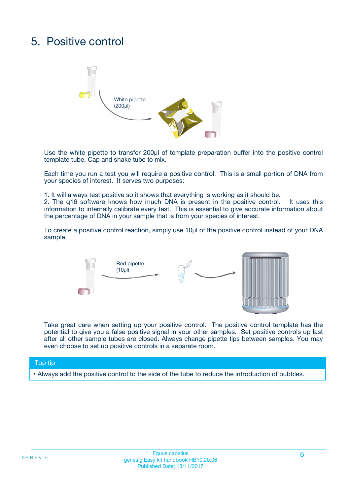# 5. Positive control



Use the white pipette to transfer 200µl of template preparation buffer into the positive control template tube. Cap and shake tube to mix.

Each time you run a test you will require a positive control. This is a small portion of DNA from your species of interest. It serves two purposes:

1. It will always test positive so it shows that everything is working as it should be.

2. The q16 software knows how much DNA is present in the positive control. It uses this information to internally calibrate every test. This is essential to give accurate information about the percentage of DNA in your sample that is from your species of interest.

To create a positive control reaction, simply use 10µl of the positive control instead of your DNA sample.



Take great care when setting up your positive control. The positive control template has the potential to give you a false positive signal in your other samples. Set positive controls up last after all other sample tubes are closed. Always change pipette tips between samples. You may even choose to set up positive controls in a separate room.

#### Top tip

**•** Always add the positive control to the side of the tube to reduce the introduction of bubbles.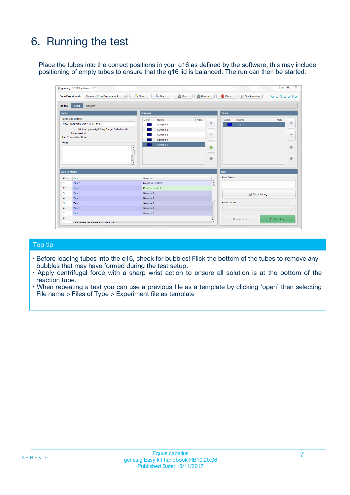# 6. Running the test

Place the tubes into the correct positions in your q16 as defined by the software, this may include positioning of empty tubes to ensure that the q16 lid is balanced. The run can then be started.

|                      | genesig q16 PCR software - 1.2                                                    |                                     | $\Box$                                                                     |
|----------------------|-----------------------------------------------------------------------------------|-------------------------------------|----------------------------------------------------------------------------|
|                      | <b>Open Experiments:</b><br>Unsaved (New Experiment 2<br>$\overline{\phantom{a}}$ | <b>E</b> Open<br>Save<br>$\Box$ New | Save As<br>$G \equiv N \equiv S \mid G$<br><b>C</b> Close<br>Configuration |
| Stages:              | Setup<br><b>Results</b>                                                           |                                     |                                                                            |
| <b>Notes</b>         |                                                                                   | <b>Samples</b>                      | <b>Tests</b>                                                               |
|                      | <b>Name and Details</b>                                                           | Note<br>Color<br>Name               | Color<br>Name<br>Note                                                      |
|                      | New Experiment 2017-10-26 11:06                                                   | Sample 1                            | 유<br>÷<br>Test <sub>1</sub>                                                |
|                      | Kit type: genesig® Easy Target Detection kit                                      | Sample 2                            |                                                                            |
|                      | Instrument Id.:                                                                   | Sample 3                            | $\qquad \qquad \blacksquare$<br>$\qquad \qquad \blacksquare$               |
|                      | <b>Run Completion Time:</b>                                                       | Sample 4                            |                                                                            |
| <b>Notes</b>         | $\blacktriangle$                                                                  | Sample 5                            | ♦                                                                          |
|                      |                                                                                   |                                     | 4                                                                          |
|                      |                                                                                   |                                     |                                                                            |
|                      |                                                                                   |                                     | ÷<br>€                                                                     |
|                      | $\overline{\mathbf{v}}$                                                           |                                     |                                                                            |
| <b>Well Contents</b> |                                                                                   |                                     | Run                                                                        |
| Pos.                 | Test                                                                              | Sample                              | <b>Run Status</b>                                                          |
| 1                    | Test 1                                                                            | <b>Negative Control</b>             | $\blacktriangle$                                                           |
| $\overline{2}$       | Test 1                                                                            | <b>Positive Control</b>             |                                                                            |
| 3                    | Test 1                                                                            | Sample 1                            | Show full log                                                              |
| $\overline{4}$       | Test 1                                                                            | Sample 2                            |                                                                            |
| 5                    | Test 1                                                                            | Sample 3                            | <b>Run Control</b>                                                         |
| 6                    | Test 1                                                                            | Sample 4                            |                                                                            |
| $\overline{7}$       | Test 1                                                                            | Sample 5                            |                                                                            |
|                      |                                                                                   |                                     |                                                                            |
| 8                    |                                                                                   |                                     | $\triangleright$ Start Run<br>Abort Run<br>$\overline{\mathbf{v}}$         |

#### Top tip

- Before loading tubes into the q16, check for bubbles! Flick the bottom of the tubes to remove any bubbles that may have formed during the test setup.
- Apply centrifugal force with a sharp wrist action to ensure all solution is at the bottom of the reaction tube.
- When repeating a test you can use a previous file as a template by clicking 'open' then selecting File name > Files of Type > Experiment file as template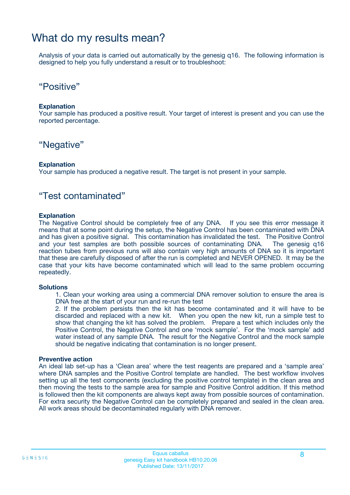### What do my results mean?

Analysis of your data is carried out automatically by the genesig q16. The following information is designed to help you fully understand a result or to troubleshoot:

### "Positive"

#### **Explanation**

Your sample has produced a positive result. Your target of interest is present and you can use the reported percentage.

### "Negative"

#### **Explanation**

Your sample has produced a negative result. The target is not present in your sample.

### "Test contaminated"

#### **Explanation**

The Negative Control should be completely free of any DNA. If you see this error message it means that at some point during the setup, the Negative Control has been contaminated with DNA and has given a positive signal. This contamination has invalidated the test. The Positive Control and your test samples are both possible sources of contaminating DNA. The genesig q16 reaction tubes from previous runs will also contain very high amounts of DNA so it is important that these are carefully disposed of after the run is completed and NEVER OPENED. It may be the case that your kits have become contaminated which will lead to the same problem occurring repeatedly.

#### **Solutions**

1. Clean your working area using a commercial DNA remover solution to ensure the area is DNA free at the start of your run and re-run the test

2. If the problem persists then the kit has become contaminated and it will have to be discarded and replaced with a new kit. When you open the new kit, run a simple test to show that changing the kit has solved the problem. Prepare a test which includes only the Positive Control, the Negative Control and one 'mock sample'. For the 'mock sample' add water instead of any sample DNA. The result for the Negative Control and the mock sample should be negative indicating that contamination is no longer present.

#### **Preventive action**

An ideal lab set-up has a 'Clean area' where the test reagents are prepared and a 'sample area' where DNA samples and the Positive Control template are handled. The best workflow involves setting up all the test components (excluding the positive control template) in the clean area and then moving the tests to the sample area for sample and Positive Control addition. If this method is followed then the kit components are always kept away from possible sources of contamination. For extra security the Negative Control can be completely prepared and sealed in the clean area. All work areas should be decontaminated regularly with DNA remover.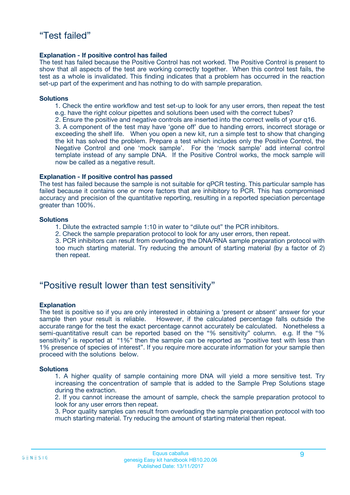#### **Explanation - If positive control has failed**

The test has failed because the Positive Control has not worked. The Positive Control is present to show that all aspects of the test are working correctly together. When this control test fails, the test as a whole is invalidated. This finding indicates that a problem has occurred in the reaction set-up part of the experiment and has nothing to do with sample preparation.

#### **Solutions**

- 1. Check the entire workflow and test set-up to look for any user errors, then repeat the test e.g. have the right colour pipettes and solutions been used with the correct tubes?
- 2. Ensure the positive and negative controls are inserted into the correct wells of your q16.

3. A component of the test may have 'gone off' due to handing errors, incorrect storage or exceeding the shelf life. When you open a new kit, run a simple test to show that changing the kit has solved the problem. Prepare a test which includes only the Positive Control, the Negative Control and one 'mock sample'. For the 'mock sample' add internal control template instead of any sample DNA. If the Positive Control works, the mock sample will now be called as a negative result.

#### **Explanation - If positive control has passed**

The test has failed because the sample is not suitable for qPCR testing. This particular sample has failed because it contains one or more factors that are inhibitory to PCR. This has compromised accuracy and precision of the quantitative reporting, resulting in a reported speciation percentage greater than 100%.

#### **Solutions**

- 1. Dilute the extracted sample 1:10 in water to "dilute out" the PCR inhibitors.
- 2. Check the sample preparation protocol to look for any user errors, then repeat.

3. PCR inhibitors can result from overloading the DNA/RNA sample preparation protocol with too much starting material. Try reducing the amount of starting material (by a factor of 2) then repeat.

### "Positive result lower than test sensitivity"

#### **Explanation**

The test is positive so if you are only interested in obtaining a 'present or absent' answer for your sample then your result is reliable. However, if the calculated percentage falls outside the accurate range for the test the exact percentage cannot accurately be calculated. Nonetheless a semi-quantitative result can be reported based on the "% sensitivity" column. e.g. If the "% sensitivity" is reported at "1%" then the sample can be reported as "positive test with less than 1% presence of species of interest". If you require more accurate information for your sample then proceed with the solutions below.

#### **Solutions**

1. A higher quality of sample containing more DNA will yield a more sensitive test. Try increasing the concentration of sample that is added to the Sample Prep Solutions stage during the extraction.

2. If you cannot increase the amount of sample, check the sample preparation protocol to look for any user errors then repeat.

3. Poor quality samples can result from overloading the sample preparation protocol with too much starting material. Try reducing the amount of starting material then repeat.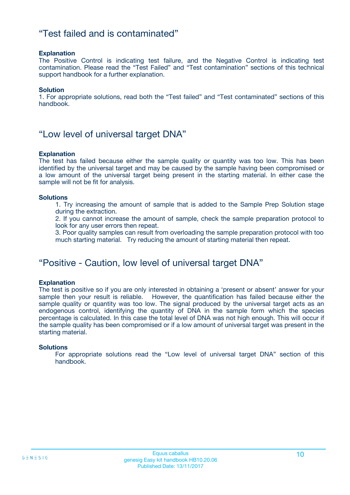### "Test failed and is contaminated"

#### **Explanation**

The Positive Control is indicating test failure, and the Negative Control is indicating test contamination. Please read the "Test Failed" and "Test contamination" sections of this technical support handbook for a further explanation.

#### **Solution**

1. For appropriate solutions, read both the "Test failed" and "Test contaminated" sections of this handbook.

### "Low level of universal target DNA"

#### **Explanation**

The test has failed because either the sample quality or quantity was too low. This has been identified by the universal target and may be caused by the sample having been compromised or a low amount of the universal target being present in the starting material. In either case the sample will not be fit for analysis.

#### **Solutions**

1. Try increasing the amount of sample that is added to the Sample Prep Solution stage during the extraction.

2. If you cannot increase the amount of sample, check the sample preparation protocol to look for any user errors then repeat.

3. Poor quality samples can result from overloading the sample preparation protocol with too much starting material. Try reducing the amount of starting material then repeat.

### "Positive - Caution, low level of universal target DNA"

#### **Explanation**

The test is positive so if you are only interested in obtaining a 'present or absent' answer for your sample then your result is reliable. However, the quantification has failed because either the sample quality or quantity was too low. The signal produced by the universal target acts as an endogenous control, identifying the quantity of DNA in the sample form which the species percentage is calculated. In this case the total level of DNA was not high enough. This will occur if the sample quality has been compromised or if a low amount of universal target was present in the starting material.

#### **Solutions**

For appropriate solutions read the "Low level of universal target DNA" section of this handbook.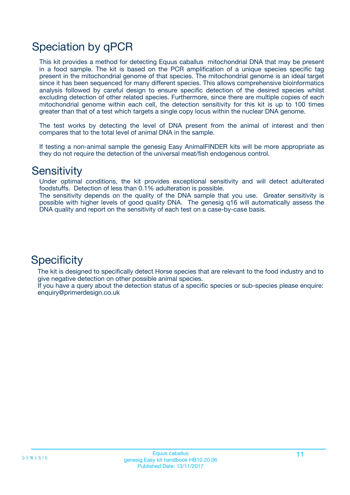# Speciation by qPCR

This kit provides a method for detecting Equus caballus mitochondrial DNA that may be present in a food sample. The kit is based on the PCR amplification of a unique species specific tag present in the mitochondrial genome of that species. The mitochondrial genome is an ideal target since it has been sequenced for many different species. This allows comprehensive bioinformatics analysis followed by careful design to ensure specific detection of the desired species whilst excluding detection of other related species. Furthermore, since there are multiple copies of each mitochondrial genome within each cell, the detection sensitivity for this kit is up to 100 times greater than that of a test which targets a single copy locus within the nuclear DNA genome.

The test works by detecting the level of DNA present from the animal of interest and then compares that to the total level of animal DNA in the sample.

If testing a non-animal sample the genesig Easy AnimalFINDER kits will be more appropriate as they do not require the detection of the universal meat/fish endogenous control.

### **Sensitivity**

Under optimal conditions, the kit provides exceptional sensitivity and will detect adulterated foodstuffs. Detection of less than 0.1% adulteration is possible.

The sensitivity depends on the quality of the DNA sample that you use. Greater sensitivity is possible with higher levels of good quality DNA. The genesig q16 will automatically assess the DNA quality and report on the sensitivity of each test on a case-by-case basis.

### **Specificity**

The kit is designed to specifically detect Horse species that are relevant to the food industry and to give negative detection on other possible animal species.

If you have a query about the detection status of a specific species or sub-species please enquire: enquiry@primerdesign.co.uk